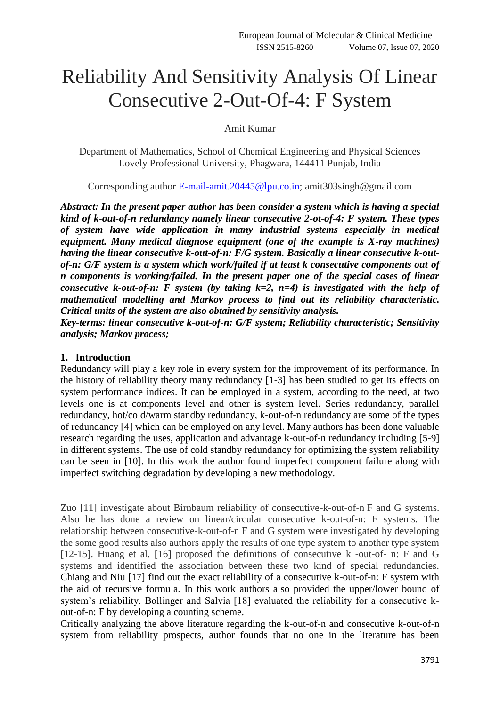# Reliability And Sensitivity Analysis Of Linear Consecutive 2-Out-Of-4: F System

Amit Kumar

Department of Mathematics, School of Chemical Engineering and Physical Sciences Lovely Professional University, Phagwara, 144411 Punjab, India

Corresponding author [E-mail-amit.20445@lpu.co.in;](mailto:E-mail-amit.20445@lpu.co.in) amit303singh@gmail.com

*Abstract: In the present paper author has been consider a system which is having a special kind of k-out-of-n redundancy namely linear consecutive 2-ot-of-4: F system. These types of system have wide application in many industrial systems especially in medical equipment. Many medical diagnose equipment (one of the example is X-ray machines) having the linear consecutive k-out-of-n: F/G system. Basically a linear consecutive k-outof-n: G/F system is a system which work/failed if at least k consecutive components out of n components is working/failed. In the present paper one of the special cases of linear consecutive k-out-of-n: F system (by taking k=2, n=4) is investigated with the help of mathematical modelling and Markov process to find out its reliability characteristic. Critical units of the system are also obtained by sensitivity analysis.* 

*Key-terms: linear consecutive k-out-of-n: G/F system; Reliability characteristic; Sensitivity analysis; Markov process;* 

#### **1. Introduction**

Redundancy will play a key role in every system for the improvement of its performance. In the history of reliability theory many redundancy [1-3] has been studied to get its effects on system performance indices. It can be employed in a system, according to the need, at two levels one is at components level and other is system level. Series redundancy, parallel redundancy, hot/cold/warm standby redundancy, k-out-of-n redundancy are some of the types of redundancy [4] which can be employed on any level. Many authors has been done valuable research regarding the uses, application and advantage k-out-of-n redundancy including [5-9] in different systems. The use of cold standby redundancy for optimizing the system reliability can be seen in [10]. In this work the author found imperfect component failure along with imperfect switching degradation by developing a new methodology.

Zuo [11] investigate about Birnbaum reliability of consecutive-k-out-of-n F and G systems. Also he has done a review on linear/circular consecutive k-out-of-n: F systems. The relationship between consecutive-k-out-of-n F and G system were investigated by developing the some good results also authors apply the results of one type system to another type system [12-15]. Huang et al. [16] proposed the definitions of consecutive k -out-of- n: F and G systems and identified the association between these two kind of special redundancies. Chiang and Niu [17] find out the exact reliability of a consecutive k-out-of-n: F system with the aid of recursive formula. In this work authors also provided the upper/lower bound of system's reliability. Bollinger and Salvia [18] evaluated the reliability for a consecutive kout-of-n: F by developing a counting scheme.

Critically analyzing the above literature regarding the k-out-of-n and consecutive k-out-of-n system from reliability prospects, author founds that no one in the literature has been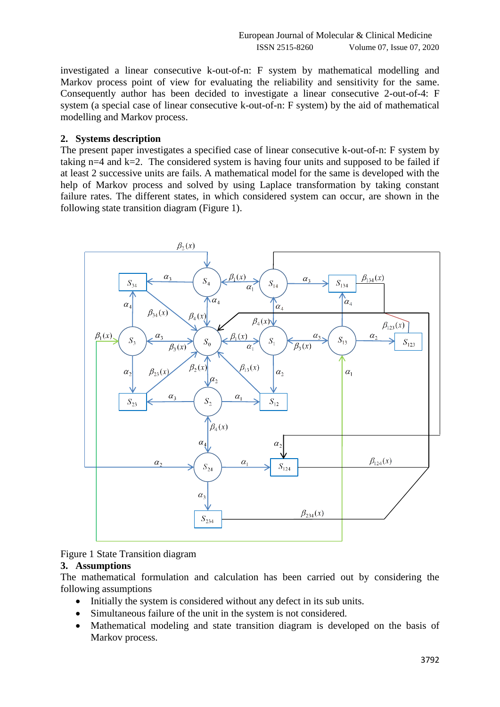investigated a linear consecutive k-out-of-n: F system by mathematical modelling and Markov process point of view for evaluating the reliability and sensitivity for the same. Consequently author has been decided to investigate a linear consecutive 2-out-of-4: F system (a special case of linear consecutive k-out-of-n: F system) by the aid of mathematical modelling and Markov process.

#### **2. Systems description**

The present paper investigates a specified case of linear consecutive k-out-of-n: F system by taking  $n=4$  and  $k=2$ . The considered system is having four units and supposed to be failed if at least 2 successive units are fails. A mathematical model for the same is developed with the help of Markov process and solved by using Laplace transformation by taking constant failure rates. The different states, in which considered system can occur, are shown in the following state transition diagram (Figure 1).



Figure 1 State Transition diagram

#### **3. Assumptions**

The mathematical formulation and calculation has been carried out by considering the following assumptions

- Initially the system is considered without any defect in its sub units.
- Simultaneous failure of the unit in the system is not considered.
- Mathematical modeling and state transition diagram is developed on the basis of Markov process.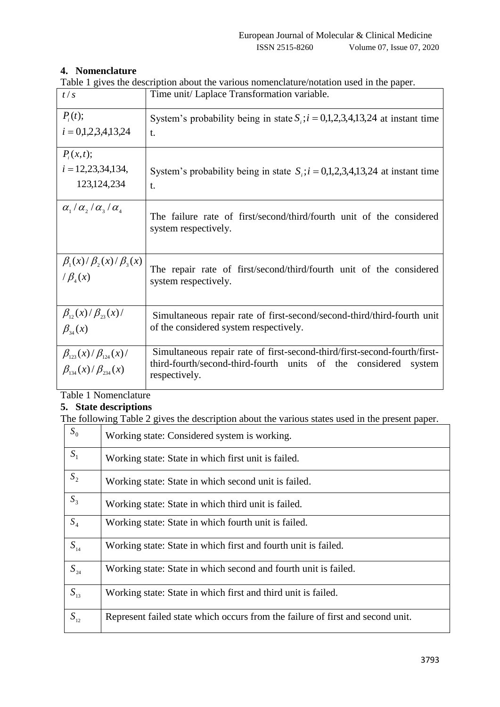## **4. Nomenclature**

Table 1 gives the description about the various nomenclature/notation used in the paper.

| t/s                                                                 | raoie I gives the description about the various nonfeneration notation ased in the paper.<br>Time unit/ Laplace Transformation variable.                         |
|---------------------------------------------------------------------|------------------------------------------------------------------------------------------------------------------------------------------------------------------|
| $P_i(t);$<br>$i = 0,1,2,3,4,13,24$                                  | System's probability being in state $S_i$ ; $i = 0,1,2,3,4,13,24$ at instant time<br>t.                                                                          |
| $P_i(x,t);$<br>$i = 12,23,34,134,$<br>123, 124, 234                 | System's probability being in state $S_i$ ; $i = 0,1,2,3,4,13,24$ at instant time<br>t.                                                                          |
| $\alpha_{1}/\alpha_{2}/\alpha_{3}/\alpha_{4}$                       | The failure rate of first/second/third/fourth unit of the considered<br>system respectively.                                                                     |
| $\beta_1(x)/\beta_2(x)/\beta_3(x)$<br>$/\beta_{4}(x)$               | The repair rate of first/second/third/fourth unit of the considered<br>system respectively.                                                                      |
| $\beta_{12}(x)/\beta_{23}(x)/$<br>$\beta_{34}(x)$                   | Simultaneous repair rate of first-second/second-third/third-fourth unit<br>of the considered system respectively.                                                |
| $\beta_{123}(x)/\beta_{124}(x)/$<br>$\beta_{134}(x)/\beta_{234}(x)$ | Simultaneous repair rate of first-second-third/first-second-fourth/first-<br>third-fourth/second-third-fourth units of the considered<br>system<br>respectively. |

Table 1 Nomenclature

## **5. State descriptions**

The following Table 2 gives the description about the various states used in the present paper.

| $S_0$    | Working state: Considered system is working.                                   |
|----------|--------------------------------------------------------------------------------|
| $S_1$    | Working state: State in which first unit is failed.                            |
| $S_2$    | Working state: State in which second unit is failed.                           |
| $S_3$    | Working state: State in which third unit is failed.                            |
| $S_4$    | Working state: State in which fourth unit is failed.                           |
| $S_{14}$ | Working state: State in which first and fourth unit is failed.                 |
| $S_{24}$ | Working state: State in which second and fourth unit is failed.                |
| $S_{13}$ | Working state: State in which first and third unit is failed.                  |
| $S_{12}$ | Represent failed state which occurs from the failure of first and second unit. |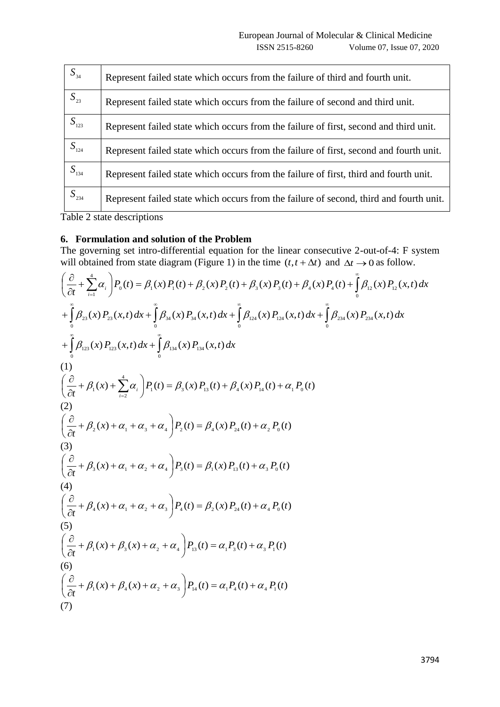| $S_{34}$         | Represent failed state which occurs from the failure of third and fourth unit.         |
|------------------|----------------------------------------------------------------------------------------|
| $S_{23}$         | Represent failed state which occurs from the failure of second and third unit.         |
| S <sub>123</sub> | Represent failed state which occurs from the failure of first, second and third unit.  |
| $S_{124}$        | Represent failed state which occurs from the failure of first, second and fourth unit. |
| $S_{134}$        | Represent failed state which occurs from the failure of first, third and fourth unit.  |
| $S_{234}$        | Represent failed state which occurs from the failure of second, third and fourth unit. |

Table 2 state descriptions

## **6. Formulation and solution of the Problem**

The governing set intro-differential equation for the linear consecutive 2-out-of-4: F system will obtained from state diagram (Figure 1) in the time  $(t, t + \Delta t)$  and  $\Delta t \rightarrow 0$  as follow.

$$
\left(\frac{\partial}{\partial t} + \sum_{i=1}^{4} \alpha_{i}\right) P_{0}(t) = \beta_{1}(x) P_{1}(t) + \beta_{2}(x) P_{2}(t) + \beta_{3}(x) P_{3}(t) + \beta_{4}(x) P_{4}(t) + \int_{0}^{2} \beta_{12}(x) P_{12}(x, t) dx \n+ \int_{0}^{2} \beta_{23}(x) P_{23}(x, t) dx + \int_{0}^{2} \beta_{34}(x) P_{34}(x, t) dx + \int_{0}^{2} \beta_{24}(x) P_{24}(x, t) dx + \int_{0}^{2} \beta_{23}(x) P_{13}(x, t) dx \n+ \int_{0}^{2} \beta_{123}(x) P_{13}(x, t) dx + \int_{0}^{2} \beta_{134}(x) P_{134}(x, t) dx \n(1) \n\left(\frac{\partial}{\partial t} + \beta_{1}(x) + \sum_{i=2}^{4} \alpha_{i}\right) P_{1}(t) = \beta_{3}(x) P_{13}(t) + \beta_{4}(x) P_{14}(t) + \alpha_{1} P_{0}(t) \n\left(\frac{\partial}{\partial t} + \beta_{2}(x) + \alpha_{1} + \alpha_{3} + \alpha_{4}\right) P_{2}(t) = \beta_{4}(x) P_{24}(t) + \alpha_{2} P_{0}(t) \n\left(\frac{\partial}{\partial t} + \beta_{3}(x) + \alpha_{1} + \alpha_{2} + \alpha_{4}\right) P_{3}(t) = \beta_{1}(x) P_{13}(t) + \alpha_{3} P_{0}(t) \n\left(\frac{\partial}{\partial t} + \beta_{4}(x) + \alpha_{1} + \alpha_{2} + \alpha_{3}\right) P_{4}(t) = \beta_{2}(x) P_{24}(t) + \alpha_{4} P_{0}(t) \n\left(\frac{\partial}{\partial t} + \beta_{4}(x) + \beta_{5}(x) + \alpha_{2} + \alpha_{4}\right) P_{13}(t) = \alpha_{1} P_{3}(t) + \alpha_{4} P_{1}(t)
$$
\n(6)   
\n(6)   
\n\left(\frac{\partial}{\partial t} + \beta\_{1}(x) + \beta\_{3}(x) + \alpha\_{2} + \alpha\_{3}\right) P\_{14}(t) = \alpha\_{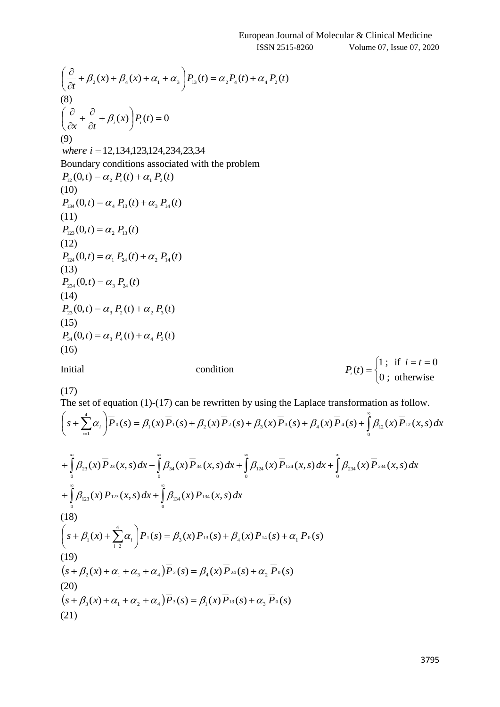$$
\left(\frac{\partial}{\partial t} + \beta_2(x) + \beta_4(x) + \alpha_1 + \alpha_3\right) P_{13}(t) = \alpha_2 P_4(t) + \alpha_4 P_2(t)
$$
\n(8)  
\n(8)  
\n(8)  
\n(9)  
\n(9)  
\nwhere  $i = 12, 134, 123, 124, 234, 23, 34$   
\nBoundary conditions associated with the problem  
\n $P_{12}(0, t) = \alpha_2 P_1(t) + \alpha_1 P_2(t)$   
\n(10)  
\n $P_{134}(0, t) = \alpha_4 P_{13}(t) + \alpha_3 P_{14}(t)$   
\n(11)  
\n $P_{123}(0, t) = \alpha_4 P_{13}(t) + \alpha_3 P_{14}(t)$   
\n(12)  
\n $P_{124}(0, t) = \alpha_1 P_{24}(t) + \alpha_2 P_{14}(t)$   
\n(13)  
\n $P_{234}(0, t) = \alpha_1 P_{24}(t) + \alpha_2 P_{14}(t)$   
\n(14)  
\n $P_{23}(0, t) = \alpha_3 P_{24}(t)$   
\n(14)  
\n $P_{23}(0, t) = \alpha_3 P_2(t) + \alpha_2 P_3(t)$   
\n(15)  
\n $P_{34}(0, t) = \alpha_3 P_4(t) + \alpha_4 P_3(t)$   
\n(16)

Initial condition

$$
f_{\rm{max}}
$$

$$
P_i(t) = \begin{cases} 1; & \text{if } i = t = 0 \\ 0; & \text{otherwise} \end{cases}
$$

(17)

The set of equation (1)-(17) can be rewritten by using the Laplace transformation as follow.

$$
\left(s+\sum_{i=1}^{4}\alpha_{i}\right)\overline{P}_{0}(s)=\beta_{1}(x)\overline{P}_{1}(s)+\beta_{2}(x)\overline{P}_{2}(s)+\beta_{3}(x)\overline{P}_{3}(s)+\beta_{4}(x)\overline{P}_{4}(s)+\int_{0}^{\infty}\beta_{12}(x)\overline{P}_{12}(x,s)dx
$$

$$
+\int_{0}^{\infty} \beta_{23}(x) \overline{P}_{23}(x,s) dx + \int_{0}^{\infty} \beta_{34}(x) \overline{P}_{34}(x,s) dx + \int_{0}^{\infty} \beta_{124}(x) \overline{P}_{124}(x,s) dx + \int_{0}^{\infty} \beta_{234}(x) \overline{P}_{234}(x,s) dx
$$
  
+ 
$$
\int_{0}^{\infty} \beta_{123}(x) \overline{P}_{123}(x,s) dx + \int_{0}^{\infty} \beta_{134}(x) \overline{P}_{134}(x,s) dx
$$
  
(18)  

$$
\left(s + \beta_{1}(x) + \sum_{i=2}^{4} \alpha_{i} \right) \overline{P}_{1}(s) = \beta_{3}(x) \overline{P}_{13}(s) + \beta_{4}(x) \overline{P}_{14}(s) + \alpha_{1} \overline{P}_{0}(s)
$$
  
(19)  

$$
\left(s + \beta_{2}(x) + \alpha_{1} + \alpha_{3} + \alpha_{4}\right) \overline{P}_{2}(s) = \beta_{4}(x) \overline{P}_{24}(s) + \alpha_{2} \overline{P}_{0}(s)
$$
  
(20)  

$$
\left(s + \beta_{3}(x) + \alpha_{1} + \alpha_{2} + \alpha_{4}\right) \overline{P}_{3}(s) = \beta_{1}(x) \overline{P}_{13}(s) + \alpha_{3} \overline{P}_{0}(s)
$$
  
(21)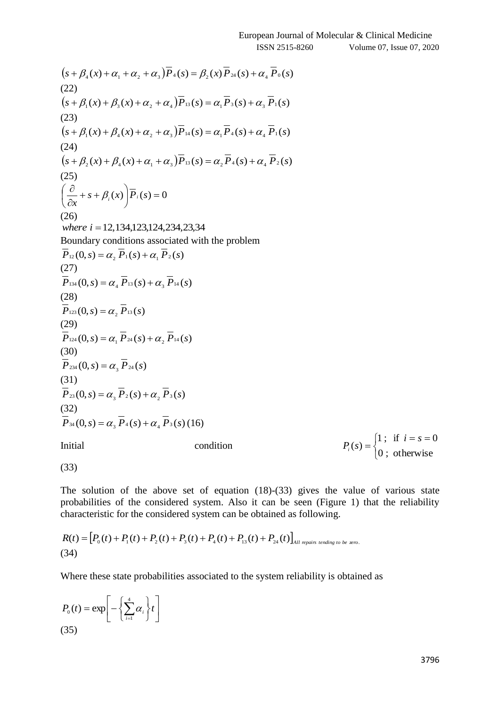$$
(s + \beta_{4}(x) + \alpha_{1} + \alpha_{2} + \alpha_{3})\overline{P}_{4}(s) = \beta_{2}(x)\overline{P}_{24}(s) + \alpha_{4}\overline{P}_{6}(s)
$$
\n(22)  
\n
$$
(s + \beta_{1}(x) + \beta_{2}(x) + \alpha_{2} + \alpha_{4})\overline{P}_{1}(s) = \alpha_{1}\overline{P}_{2}(s) + \alpha_{2}\overline{P}_{1}(s)
$$
\n(24)  
\n
$$
(s + \beta_{1}(x) + \beta_{1}(x) + \alpha_{4} + \alpha_{5})\overline{P}_{14}(s) = \alpha_{1}\overline{P}_{4}(s) + \alpha_{4}\overline{P}_{1}(s)
$$
\n(24)  
\n
$$
(s + \beta_{2}(x) + \beta_{4}(x) + \alpha_{1} + \alpha_{3})\overline{P}_{12}(s) = \alpha_{1}\overline{P}_{4}(s) + \alpha_{4}\overline{P}_{2}(s)
$$
\n(25)  
\n(26)  
\n(27)  
\n(28)  
\n(29)  
\n(20)  
\n(26)  
\n(27)  
\n(28)  
\n(29)  
\n(20)  
\n(20)  
\n(21)  
\n(22)  
\n(29)  
\n(20)  
\n(20)  
\n(21)  
\n(22)  
\n(23)  
\n(24)  
\n(25)  
\n(27)  
\n(28)  
\n(29)  
\n(20)  
\n(20)  
\n(21)  
\n(22)  
\n(29)  
\n(29)  
\n(20)  
\n(21)  
\n(22)  
\n(29)  
\n(29)  
\n(29)  
\n(29)  
\n(29)  
\n(29)  
\n(29)  
\n(29)  
\n(29)  
\n(29)  
\n(29)  
\n(29)  
\n(29)  
\n(29)  
\n(29)  
\n(29)  
\n(29)  
\n(20)  
\n(21)  
\n(22)  
\n(23)  
\n(24)  
\n(25)  
\n(26)  
\n(27)  
\n(28)  
\n(29)  
\n(2

 $\overline{\mathcal{L}}$ ┤  $=\begin{cases} 1; & \text{if } i = s = 0 \\ 0, & \text{if } i = s = 0 \end{cases}$ 0 ; otherwise 1; if  $i = s = 0$  $(s)$  $i = s$  $P_i(s) = \begin{cases} 1, & \text{if } i \neq s \\ 0, & \text{if } i = 1 \end{cases}$ 

(33)

The solution of the above set of equation (18)-(33) gives the value of various state probabilities of the considered system. Also it can be seen (Figure 1) that the reliability characteristic for the considered system can be obtained as following.

$$
R(t) = [P_0(t) + P_1(t) + P_2(t) + P_3(t) + P_4(t) + P_{13}(t) + P_{24}(t)]_{All\ repairs\ tending\ to\ be\ zero.}
$$
\n(34)

Where these state probabilities associated to the system reliability is obtained as

$$
P_0(t) = \exp\left[-\left\{\sum_{i=1}^4 \alpha_i\right\}t\right]
$$
\n(35)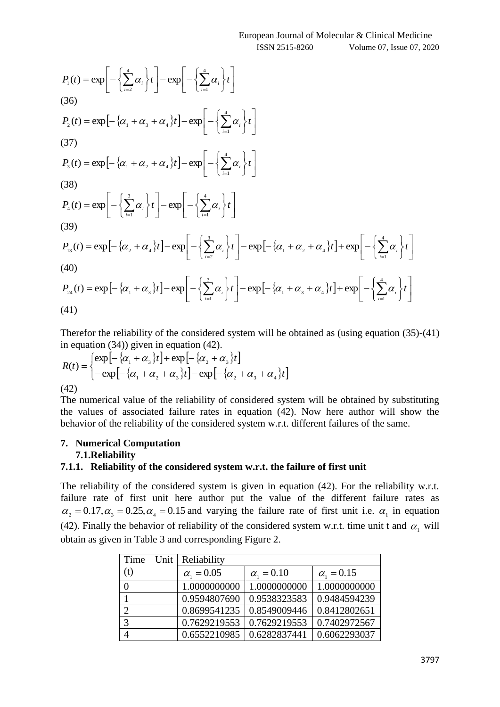$$
P_{1}(t) = \exp\left[-\left\{\sum_{i=2}^{4} \alpha_{i}\right\} t\right] - \exp\left[-\left\{\sum_{i=1}^{4} \alpha_{i}\right\} t\right]
$$
\n(36)  
\n
$$
P_{2}(t) = \exp\left[-\left\{\alpha_{1} + \alpha_{3} + \alpha_{4}\right\} t\right] - \exp\left[-\left\{\sum_{i=1}^{4} \alpha_{i}\right\} t\right]
$$
\n(37)  
\n
$$
P_{3}(t) = \exp\left[-\left\{\alpha_{1} + \alpha_{2} + \alpha_{4}\right\} t\right] - \exp\left[-\left\{\sum_{i=1}^{4} \alpha_{i}\right\} t\right]
$$
\n(38)  
\n
$$
P_{4}(t) = \exp\left[-\left\{\sum_{i=1}^{3} \alpha_{i}\right\} t\right] - \exp\left[-\left\{\sum_{i=1}^{4} \alpha_{i}\right\} t\right]
$$
\n(39)  
\n
$$
P_{13}(t) = \exp\left[-\left\{\alpha_{2} + \alpha_{4}\right\} t\right] - \exp\left[-\left\{\sum_{i=2}^{3} \alpha_{i}\right\} t\right] - \exp\left[-\left\{\alpha_{1} + \alpha_{2} + \alpha_{4}\right\} t\right] + \exp\left[-\left\{\sum_{i=1}^{4} \alpha_{i}\right\} t\right]
$$
\n(40)  
\n
$$
P_{24}(t) = \exp\left[-\left\{\alpha_{1} + \alpha_{3}\right\} t\right] - \exp\left[-\left\{\sum_{i=1}^{3} \alpha_{i}\right\} t\right] - \exp\left[-\left\{\alpha_{1} + \alpha_{3} + \alpha_{4}\right\} t\right] + \exp\left[-\left\{\sum_{i=1}^{4} \alpha_{i}\right\} t\right]
$$
\n(41)

Therefor the reliability of the considered system will be obtained as (using equation (35)-(41) in equation (34)) given in equation (42).

$$
R(t) = \begin{cases} \exp[-\{\alpha_1 + \alpha_3\}t] + \exp[-\{\alpha_2 + \alpha_3\}t] \\ - \exp[-\{\alpha_1 + \alpha_2 + \alpha_3\}t] - \exp[-\{\alpha_2 + \alpha_3 + \alpha_4\}t] \end{cases}
$$
  
(42)

The numerical value of the reliability of considered system will be obtained by substituting the values of associated failure rates in equation (42). Now here author will show the behavior of the reliability of the considered system w.r.t. different failures of the same.

#### **7. Numerical Computation 7.1.Reliability**

#### **7.1.1. Reliability of the considered system w.r.t. the failure of first unit**

The reliability of the considered system is given in equation (42). For the reliability w.r.t. failure rate of first unit here author put the value of the different failure rates as  $\alpha_2 = 0.17, \alpha_3 = 0.25, \alpha_4 = 0.15$  and varying the failure rate of first unit i.e.  $\alpha_1$  in equation (42). Finally the behavior of reliability of the considered system w.r.t. time unit t and  $\alpha_1$  will obtain as given in Table 3 and corresponding Figure 2.

| Time                        | Unit   Reliability  |                     |                     |
|-----------------------------|---------------------|---------------------|---------------------|
| (t)                         | $\alpha_{1} = 0.05$ | $\alpha_{1} = 0.10$ | $\alpha_{1} = 0.15$ |
| 0                           | 1.0000000000        | 1.0000000000        | 1.0000000000        |
|                             | 0.9594807690        | 0.9538323583        | 0.9484594239        |
| $\mathcal{D}_{\mathcal{A}}$ | 0.8699541235        | 0.8549009446        | 0.8412802651        |
| 3                           | 0.7629219553        | 0.7629219553        | 0.7402972567        |
|                             | 0.6552210985        | 0.6282837441        | 0.6062293037        |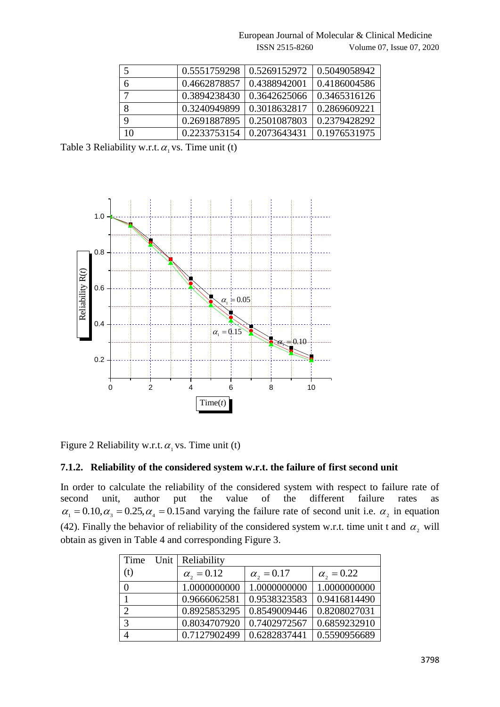European Journal of Molecular & Clinical Medicine ISSN 2515-8260 Volume 07, Issue 07, 2020

| 5  | 0.5551759298 | 0.5269152972 | 0.5049058942 |
|----|--------------|--------------|--------------|
| 6  | 0.4662878857 | 0.4388942001 | 0.4186004586 |
|    | 0.3894238430 | 0.3642625066 | 0.3465316126 |
| 8  | 0.3240949899 | 0.3018632817 | 0.2869609221 |
| 9  | 0.2691887895 | 0.2501087803 | 0.2379428292 |
| 10 | 0.2233753154 | 0.2073643431 | 0.1976531975 |

Table 3 Reliability w.r.t.  $\alpha_1$  vs. Time unit (t)



Figure 2 Reliability w.r.t.  $\alpha_1$  vs. Time unit (t)

#### **7.1.2. Reliability of the considered system w.r.t. the failure of first second unit**

In order to calculate the reliability of the considered system with respect to failure rate of second unit, author put the value of the different failure rates as  $\alpha_1 = 0.10, \alpha_3 = 0.25, \alpha_4 = 0.15$  and varying the failure rate of second unit i.e.  $\alpha_2$  in equation (42). Finally the behavior of reliability of the considered system w.r.t. time unit t and  $\alpha_2$  will obtain as given in Table 4 and corresponding Figure 3.

| Time           | Unit   Reliability  |                     |                     |
|----------------|---------------------|---------------------|---------------------|
| (t)            | $\alpha_{2} = 0.12$ | $\alpha_{2} = 0.17$ | $\alpha_{2} = 0.22$ |
| $\theta$       | 1.0000000000        | 1.0000000000        | 1.0000000000        |
|                | 0.9666062581        | 0.9538323583        | 0.9416814490        |
| $\overline{2}$ | 0.8925853295        | 0.8549009446        | 0.8208027031        |
| 3              | 0.8034707920        | 0.7402972567        | 0.6859232910        |
|                | 0.7127902499        | 0.6282837441        | 0.5590956689        |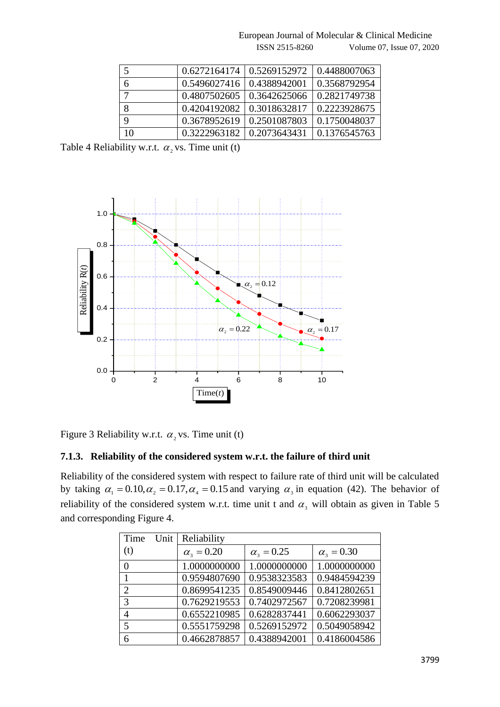European Journal of Molecular & Clinical Medicine ISSN 2515-8260 Volume 07, Issue 07, 2020

|             | 0.6272164174 | 0.5269152972 | 0.4488007063 |
|-------------|--------------|--------------|--------------|
| 6           | 0.5496027416 | 0.4388942001 | 0.3568792954 |
|             | 0.4807502605 | 0.3642625066 | 0.2821749738 |
| 8           | 0.4204192082 | 0.3018632817 | 0.2223928675 |
| $\mathbf Q$ | 0.3678952619 | 0.2501087803 | 0.1750048037 |
| 10          | 0.3222963182 | 0.2073643431 | 0.1376545763 |

Table 4 Reliability w.r.t.  $\alpha_2$  vs. Time unit (t)



Figure 3 Reliability w.r.t.  $\alpha_2$  vs. Time unit (t)

#### **7.1.3. Reliability of the considered system w.r.t. the failure of third unit**

Reliability of the considered system with respect to failure rate of third unit will be calculated by taking  $\alpha_1 = 0.10, \alpha_2 = 0.17, \alpha_4 = 0.15$  and varying  $\alpha_3$  in equation (42). The behavior of reliability of the considered system w.r.t. time unit t and  $\alpha_3$  will obtain as given in Table 5 and corresponding Figure 4.

| Time<br>Unit   | Reliability         |                     |                     |
|----------------|---------------------|---------------------|---------------------|
| (t)            | $\alpha_{3} = 0.20$ | $\alpha_{3} = 0.25$ | $\alpha_{3} = 0.30$ |
| 0              | 1.0000000000        | 1.0000000000        | 1.0000000000        |
| 1              | 0.9594807690        | 0.9538323583        | 0.9484594239        |
| $\overline{2}$ | 0.8699541235        | 0.8549009446        | 0.8412802651        |
| 3              | 0.7629219553        | 0.7402972567        | 0.7208239981        |
| 4              | 0.6552210985        | 0.6282837441        | 0.6062293037        |
| 5              | 0.5551759298        | 0.5269152972        | 0.5049058942        |
| 6              | 0.4662878857        | 0.4388942001        | 0.4186004586        |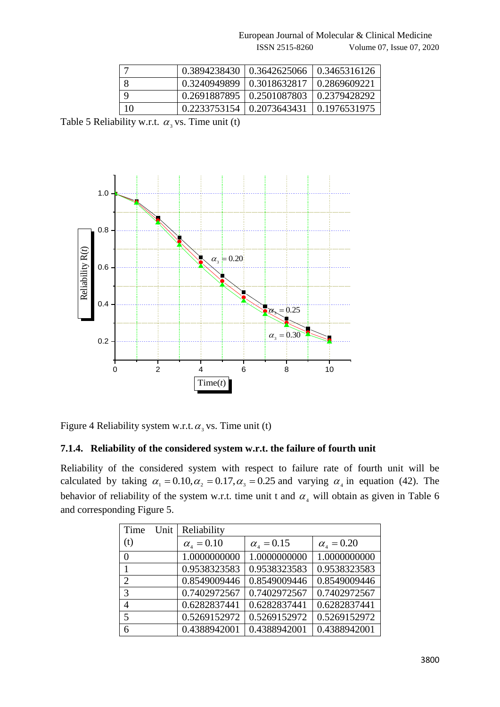European Journal of Molecular & Clinical Medicine

ISSN 2515-8260 Volume 07, Issue 07, 2020

|    |                             | $0.3894238430 \mid 0.3642625066 \mid$ | 0.3465316126 |
|----|-----------------------------|---------------------------------------|--------------|
|    |                             | 0.3240949899   0.3018632817           | 0.2869609221 |
|    | 0.2691887895   0.2501087803 |                                       | 0.2379428292 |
| 10 |                             | $0.2233753154 \mid 0.2073643431$      | 0.1976531975 |

Table 5 Reliability w.r.t.  $\alpha_3$  vs. Time unit (t)



Figure 4 Reliability system w.r.t.  $\alpha_3$  vs. Time unit (t)

#### **7.1.4. Reliability of the considered system w.r.t. the failure of fourth unit**

Reliability of the considered system with respect to failure rate of fourth unit will be calculated by taking  $\alpha_1 = 0.10, \alpha_2 = 0.17, \alpha_3 = 0.25$  and varying  $\alpha_4$  in equation (42). The behavior of reliability of the system w.r.t. time unit t and  $\alpha_4$  will obtain as given in Table 6 and corresponding Figure 5.

| Time<br>Unit   | Reliability         |                     |                     |
|----------------|---------------------|---------------------|---------------------|
| (t)            | $\alpha_{1} = 0.10$ | $\alpha_{1} = 0.15$ | $\alpha_{4} = 0.20$ |
| $\theta$       | 1.0000000000        | 1.0000000000        | 1.0000000000        |
| 1              | 0.9538323583        | 0.9538323583        | 0.9538323583        |
| $\overline{2}$ | 0.8549009446        | 0.8549009446        | 0.8549009446        |
| 3              | 0.7402972567        | 0.7402972567        | 0.7402972567        |
| $\overline{4}$ | 0.6282837441        | 0.6282837441        | 0.6282837441        |
| 5              | 0.5269152972        | 0.5269152972        | 0.5269152972        |
| 6              | 0.4388942001        | 0.4388942001        | 0.4388942001        |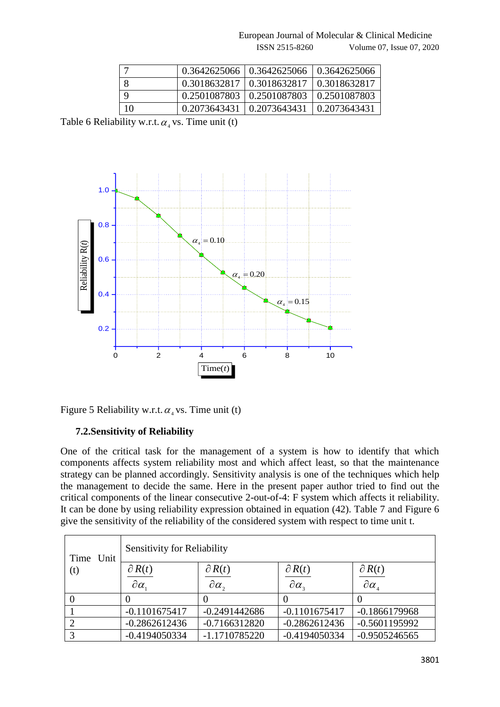European Journal of Molecular & Clinical Medicine

#### ISSN 2515-8260 Volume 07, Issue 07, 2020

|    | $0.3642625066$   $0.3642625066$   $0.3642625066$   |                |
|----|----------------------------------------------------|----------------|
|    | 0.3018632817   0.3018632817   0.3018632817         |                |
|    | $0.2501087803 \mid 0.2501087803$                   | 1 0.2501087803 |
| 10 | $0.2073643431 \mid 0.2073643431 \mid 0.2073643431$ |                |

Table 6 Reliability w.r.t.  $\alpha_4$  vs. Time unit (t)



Figure 5 Reliability w.r.t.  $\alpha_4$  vs. Time unit (t)

## **7.2.Sensitivity of Reliability**

One of the critical task for the management of a system is how to identify that which components affects system reliability most and which affect least, so that the maintenance strategy can be planned accordingly. Sensitivity analysis is one of the techniques which help the management to decide the same. Here in the present paper author tried to find out the critical components of the linear consecutive 2-out-of-4: F system which affects it reliability. It can be done by using reliability expression obtained in equation (42). Table 7 and Figure 6 give the sensitivity of the reliability of the considered system with respect to time unit t.

| Time Unit | <b>Sensitivity for Reliability</b> |                     |                                           |                                          |  |
|-----------|------------------------------------|---------------------|-------------------------------------------|------------------------------------------|--|
| (t)       | $\partial R(t)$                    | $\partial R(t)$     | $\partial R(t)$                           | $\partial R(t)$                          |  |
|           | $\partial \alpha_{1}$              | $\partial \alpha$ , | $\partial \alpha_{\scriptscriptstyle{3}}$ | $\partial \alpha_{\scriptscriptstyle A}$ |  |
|           |                                    |                     |                                           |                                          |  |
|           | $-0.1101675417$                    | $-0.2491442686$     | $-0.1101675417$                           | $-0.1866179968$                          |  |
|           | $-0.2862612436$                    | $-0.7166312820$     | $-0.2862612436$                           | $-0.5601195992$                          |  |
|           | $-0.4194050334$                    | $-1.1710785220$     | $-0.4194050334$                           | $-0.9505246565$                          |  |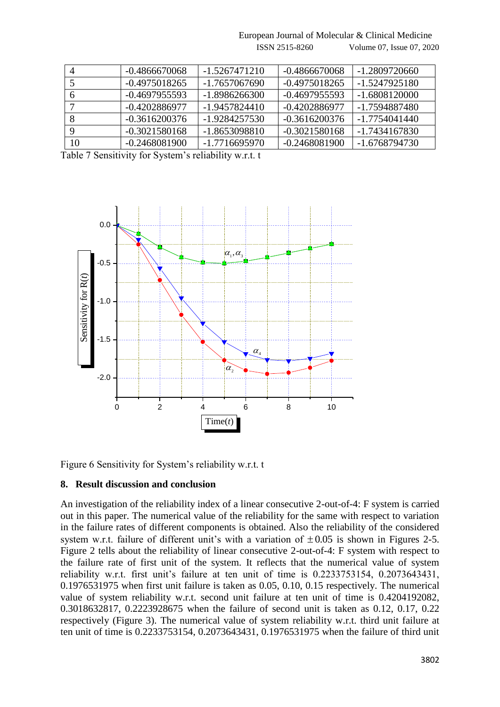$-0.4866670068$   $-1.5267471210$   $-0.4866670068$   $-1.2809720660$  -0.4975018265 -1.7657067690 -0.4975018265 -1.5247925180 6 |  $-0.4697955593$  |  $-1.8986266300$  |  $-0.4697955593$  |  $-1.6808120000$  $-0.4202886977$   $-1.9457824410$   $-0.4202886977$   $-1.7594887480$  $\vert$  -0.3616200376 -1.9284257530 -0.3616200376 -1.7754041440  $\vert$  -0.3021580168  $\vert$  -1.8653098810  $\vert$  -0.3021580168  $\vert$  -1.7434167830 -0.2468081900 -1.7716695970 -0.2468081900 -1.6768794730

European Journal of Molecular & Clinical Medicine

ISSN 2515-8260 Volume 07, Issue 07, 2020

Table 7 Sensitivity for System's reliability w.r.t. t



Figure 6 Sensitivity for System's reliability w.r.t. t

#### **8. Result discussion and conclusion**

An investigation of the reliability index of a linear consecutive 2-out-of-4: F system is carried out in this paper. The numerical value of the reliability for the same with respect to variation in the failure rates of different components is obtained. Also the reliability of the considered system w.r.t. failure of different unit's with a variation of  $\pm 0.05$  is shown in Figures 2-5. Figure 2 tells about the reliability of linear consecutive 2-out-of-4: F system with respect to the failure rate of first unit of the system. It reflects that the numerical value of system reliability w.r.t. first unit's failure at ten unit of time is 0.2233753154, 0.2073643431, 0.1976531975 when first unit failure is taken as 0.05, 0.10, 0.15 respectively. The numerical value of system reliability w.r.t. second unit failure at ten unit of time is 0.4204192082, 0.3018632817, 0.2223928675 when the failure of second unit is taken as 0.12, 0.17, 0.22 respectively (Figure 3). The numerical value of system reliability w.r.t. third unit failure at ten unit of time is 0.2233753154, 0.2073643431, 0.1976531975 when the failure of third unit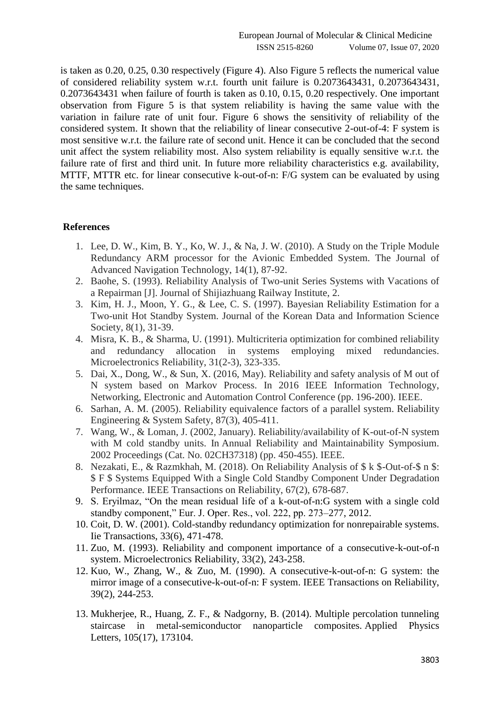is taken as 0.20, 0.25, 0.30 respectively (Figure 4). Also Figure 5 reflects the numerical value of considered reliability system w.r.t. fourth unit failure is 0.2073643431, 0.2073643431, 0.2073643431 when failure of fourth is taken as 0.10, 0.15, 0.20 respectively. One important observation from Figure 5 is that system reliability is having the same value with the variation in failure rate of unit four. Figure 6 shows the sensitivity of reliability of the considered system. It shown that the reliability of linear consecutive 2-out-of-4: F system is most sensitive w.r.t. the failure rate of second unit. Hence it can be concluded that the second unit affect the system reliability most. Also system reliability is equally sensitive w.r.t. the failure rate of first and third unit. In future more reliability characteristics e.g. availability, MTTF, MTTR etc. for linear consecutive k-out-of-n: F/G system can be evaluated by using the same techniques.

#### **References**

- 1. Lee, D. W., Kim, B. Y., Ko, W. J., & Na, J. W. (2010). A Study on the Triple Module Redundancy ARM processor for the Avionic Embedded System. The Journal of Advanced Navigation Technology, 14(1), 87-92.
- 2. Baohe, S. (1993). Reliability Analysis of Two-unit Series Systems with Vacations of a Repairman [J]. Journal of Shijiazhuang Railway Institute, 2.
- 3. Kim, H. J., Moon, Y. G., & Lee, C. S. (1997). Bayesian Reliability Estimation for a Two-unit Hot Standby System. Journal of the Korean Data and Information Science Society, 8(1), 31-39.
- 4. Misra, K. B., & Sharma, U. (1991). Multicriteria optimization for combined reliability and redundancy allocation in systems employing mixed redundancies. Microelectronics Reliability, 31(2-3), 323-335.
- 5. Dai, X., Dong, W., & Sun, X. (2016, May). Reliability and safety analysis of M out of N system based on Markov Process. In 2016 IEEE Information Technology, Networking, Electronic and Automation Control Conference (pp. 196-200). IEEE.
- 6. Sarhan, A. M. (2005). Reliability equivalence factors of a parallel system. Reliability Engineering & System Safety, 87(3), 405-411.
- 7. Wang, W., & Loman, J. (2002, January). Reliability/availability of K-out-of-N system with M cold standby units. In Annual Reliability and Maintainability Symposium. 2002 Proceedings (Cat. No. 02CH37318) (pp. 450-455). IEEE.
- 8. Nezakati, E., & Razmkhah, M. (2018). On Reliability Analysis of \$ k \$-Out-of-\$ n \$: \$ F \$ Systems Equipped With a Single Cold Standby Component Under Degradation Performance. IEEE Transactions on Reliability, 67(2), 678-687.
- 9. S. Eryilmaz, "On the mean residual life of a k-out-of-n:G system with a single cold standby component," Eur. J. Oper. Res., vol. 222, pp. 273–277, 2012.
- 10. Coit, D. W. (2001). Cold-standby redundancy optimization for nonrepairable systems. Iie Transactions, 33(6), 471-478.
- 11. Zuo, M. (1993). Reliability and component importance of a consecutive-k-out-of-n system. Microelectronics Reliability, 33(2), 243-258.
- 12. Kuo, W., Zhang, W., & Zuo, M. (1990). A consecutive-k-out-of-n: G system: the mirror image of a consecutive-k-out-of-n: F system. IEEE Transactions on Reliability, 39(2), 244-253.
- 13. Mukherjee, R., Huang, Z. F., & Nadgorny, B. (2014). Multiple percolation tunneling staircase in metal-semiconductor nanoparticle composites. Applied Physics Letters, 105(17), 173104.